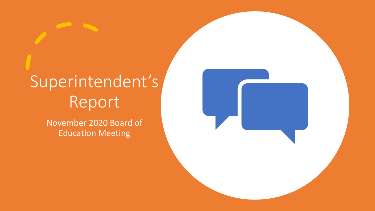# Superintendent's Report

November 2020 Board of Education Meeting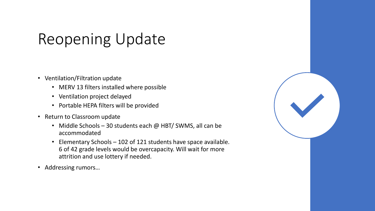# Reopening Update

- Ventilation/Filtration update
	- MERV 13 filters installed where possible
	- Ventilation project delayed
	- Portable HEPA filters will be provided
- Return to Classroom update
	- Middle Schools 30 students each @ HBT/ SWMS, all can be accommodated
	- Elementary Schools 102 of 121 students have space available. 6 of 42 grade levels would be overcapacity. Will wait for more attrition and use lottery if needed.
- Addressing rumors…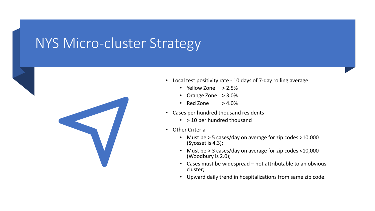### NYS Micro-cluster Strategy



- Local test positivity rate 10 days of 7-day rolling average:
	- Yellow Zone  $>2.5\%$
	- Orange Zone > 3.0%
	- Red Zone  $> 4.0\%$
- Cases per hundred thousand residents
	- > 10 per hundred thousand
- Other Criteria
	- Must be > 5 cases/day on average for zip codes >10,000 (Syosset is 4.3);
	- Must be > 3 cases/day on average for zip codes <10,000 (Woodbury is 2.0);
	- Cases must be widespread not attributable to an obvious cluster;
	- Upward daily trend in hospitalizations from same zip code.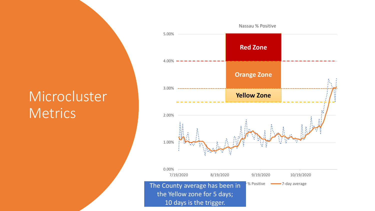## Microcluster **Metrics**

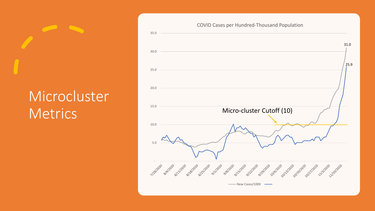# Microcluster **Metrics**



#### COVID Cases per Hundred-Thousand Population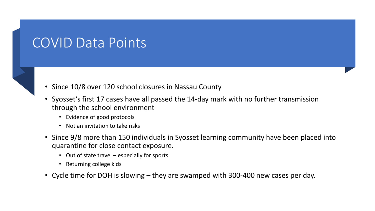#### COVID Data Points

- Since 10/8 over 120 school closures in Nassau County
- Syosset's first 17 cases have all passed the 14-day mark with no further transmission through the school environment
	- Evidence of good protocols
	- Not an invitation to take risks
- Since 9/8 more than 150 individuals in Syosset learning community have been placed into quarantine for close contact exposure.
	- Out of state travel especially for sports
	- Returning college kids
- Cycle time for DOH is slowing they are swamped with 300-400 new cases per day.